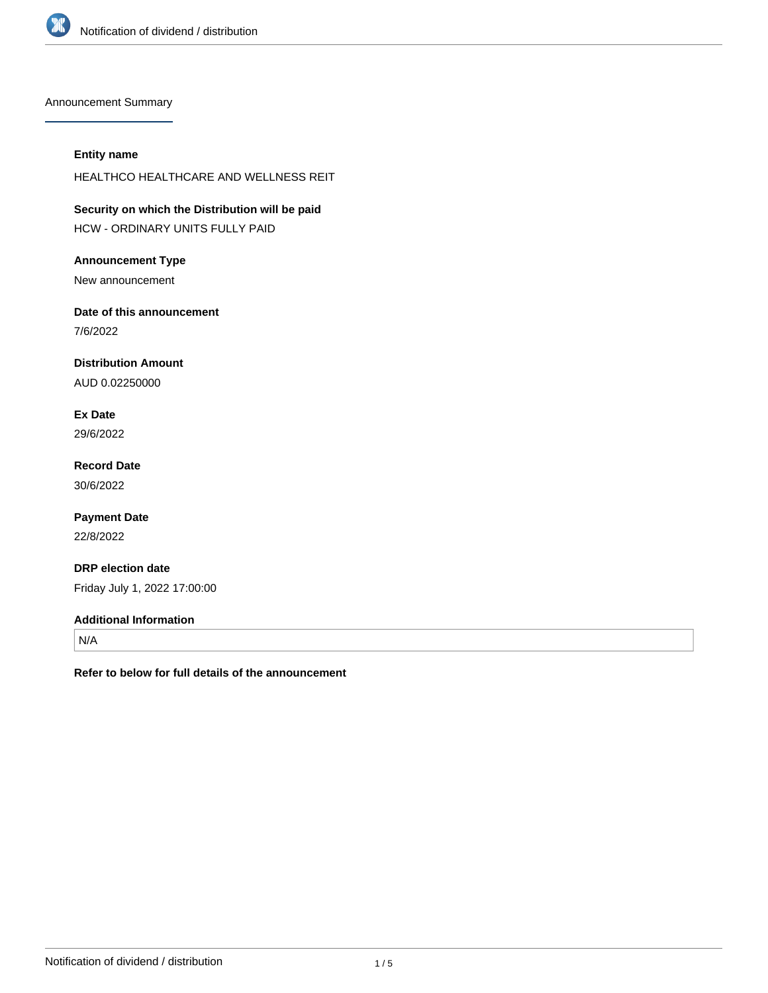

Announcement Summary

#### **Entity name**

HEALTHCO HEALTHCARE AND WELLNESS REIT

**Security on which the Distribution will be paid** HCW - ORDINARY UNITS FULLY PAID

## **Announcement Type**

New announcement

# **Date of this announcement**

7/6/2022

## **Distribution Amount**

AUD 0.02250000

## **Ex Date**

29/6/2022

## **Record Date** 30/6/2022

## **Payment Date**

22/8/2022

## **DRP election date**

Friday July 1, 2022 17:00:00

#### **Additional Information**

N/A

**Refer to below for full details of the announcement**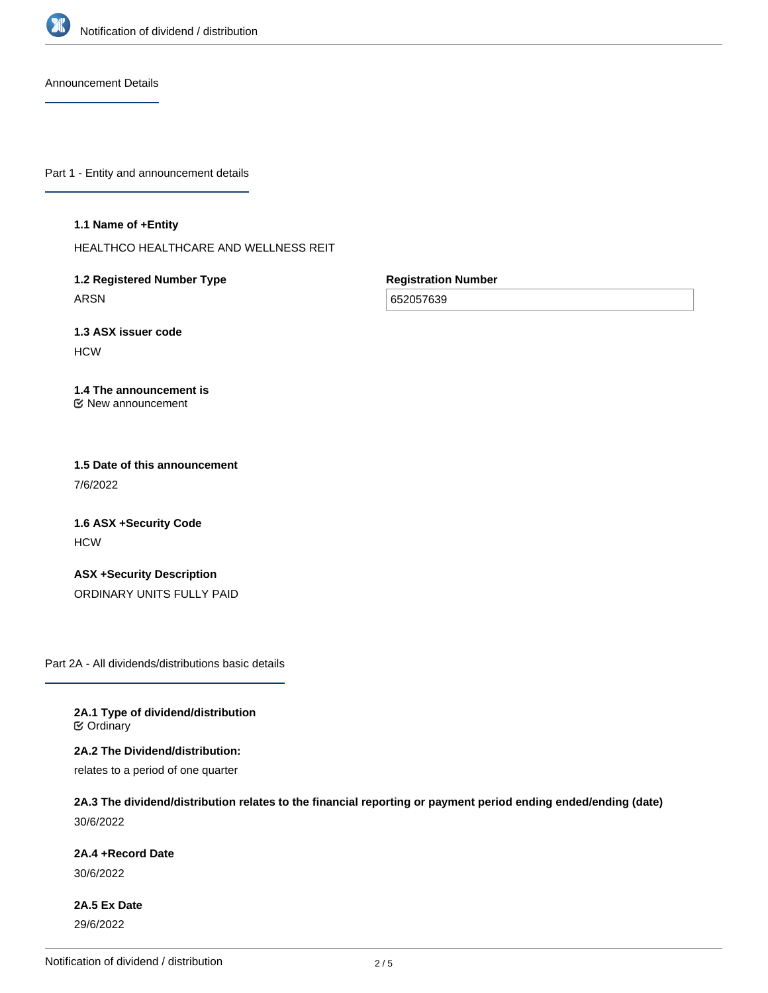

Announcement Details

Part 1 - Entity and announcement details

**1.1 Name of +Entity**

HEALTHCO HEALTHCARE AND WELLNESS REIT

**1.2 Registered Number Type** ARSN

**Registration Number**

652057639

**1.3 ASX issuer code HCW** 

**1.4 The announcement is** New announcement

**1.5 Date of this announcement** 7/6/2022

**1.6 ASX +Security Code HCW** 

**ASX +Security Description** ORDINARY UNITS FULLY PAID

Part 2A - All dividends/distributions basic details

**2A.1 Type of dividend/distribution C** Ordinary

**2A.2 The Dividend/distribution:**

relates to a period of one quarter

**2A.3 The dividend/distribution relates to the financial reporting or payment period ending ended/ending (date)** 30/6/2022

**2A.4 +Record Date**

30/6/2022

**2A.5 Ex Date** 29/6/2022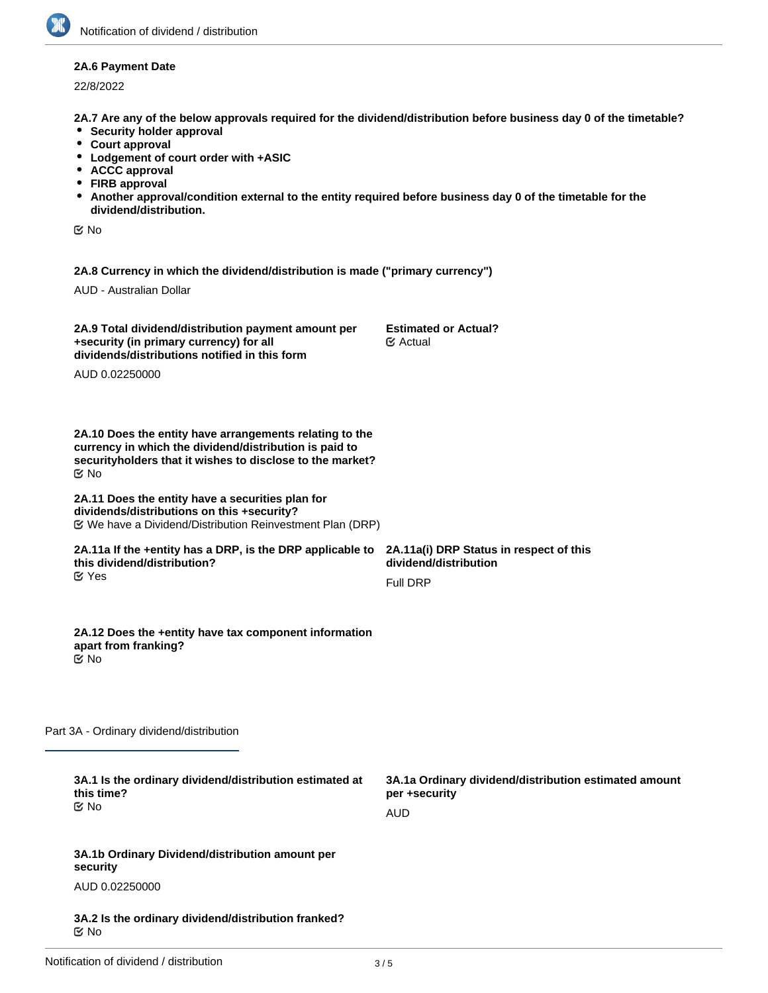#### **2A.6 Payment Date**

22/8/2022

**2A.7 Are any of the below approvals required for the dividend/distribution before business day 0 of the timetable?**

- **•** Security holder approval
- **Court approval**
- **Lodgement of court order with +ASIC**
- **ACCC approval**
- **FIRB approval**
- **Another approval/condition external to the entity required before business day 0 of the timetable for the dividend/distribution.**

No

**2A.8 Currency in which the dividend/distribution is made ("primary currency")**

AUD - Australian Dollar

| 2A.9 Total dividend/distribution payment amount per<br>+security (in primary currency) for all<br>dividends/distributions notified in this form                                             | <b>Estimated or Actual?</b><br>$\mathfrak{C}$ Actual                                 |
|---------------------------------------------------------------------------------------------------------------------------------------------------------------------------------------------|--------------------------------------------------------------------------------------|
| AUD 0.02250000                                                                                                                                                                              |                                                                                      |
| 2A.10 Does the entity have arrangements relating to the<br>currency in which the dividend/distribution is paid to<br>securityholders that it wishes to disclose to the market?<br><b>MO</b> |                                                                                      |
| 2A.11 Does the entity have a securities plan for<br>dividends/distributions on this +security?                                                                                              |                                                                                      |
| 2A.11a If the +entity has a DRP, is the DRP applicable to 2A.11a(i) DRP Status in respect of this<br>this dividend/distribution?<br>$\alpha$ Yes                                            | dividend/distribution<br><b>Full DRP</b>                                             |
| 2A.12 Does the +entity have tax component information<br>apart from franking?<br>$\overline{\mathfrak{S}}$ No                                                                               |                                                                                      |
| Part 3A - Ordinary dividend/distribution                                                                                                                                                    |                                                                                      |
| 3A.1 Is the ordinary dividend/distribution estimated at<br>this time?<br><b>Mo</b>                                                                                                          | 3A.1a Ordinary dividend/distribution estimated amount<br>per +security<br><b>AUD</b> |
| 3A.1b Ordinary Dividend/distribution amount per<br>security                                                                                                                                 |                                                                                      |
| AUD 0.02250000                                                                                                                                                                              |                                                                                      |
| 3A.2 Is the ordinary dividend/distribution franked?                                                                                                                                         |                                                                                      |

No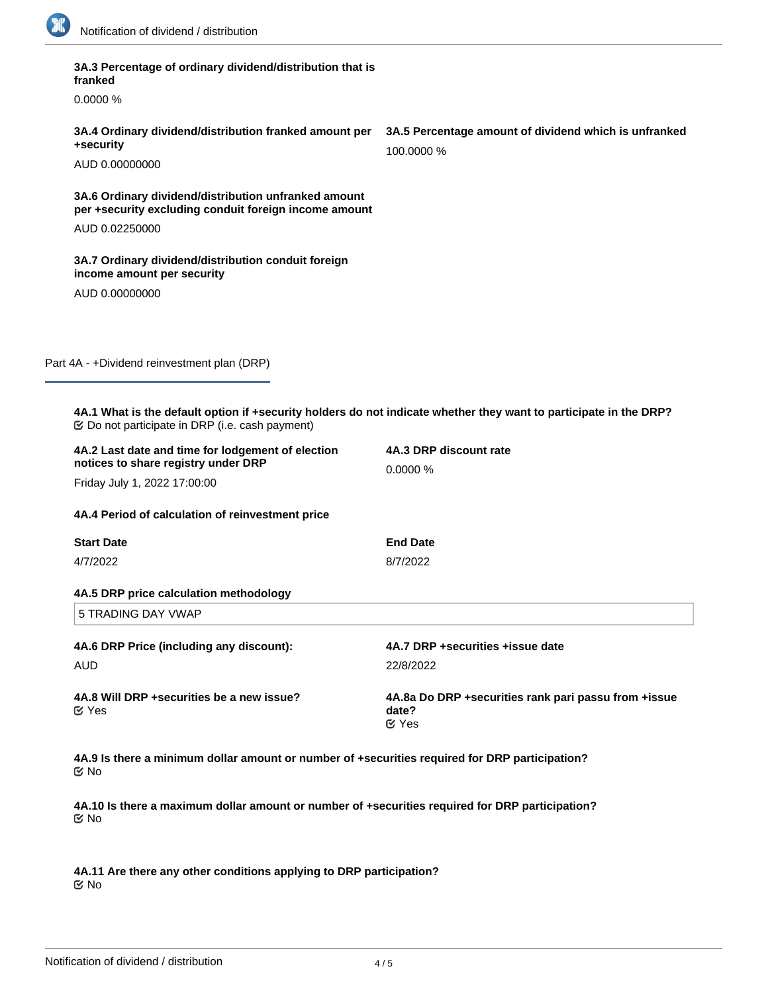

| 3A.3 Percentage of ordinary dividend/distribution that is<br>franked                                          |                                                                                                                   |  |  |
|---------------------------------------------------------------------------------------------------------------|-------------------------------------------------------------------------------------------------------------------|--|--|
| 0.0000%                                                                                                       |                                                                                                                   |  |  |
| 3A.4 Ordinary dividend/distribution franked amount per<br>+security                                           | 3A.5 Percentage amount of dividend which is unfranked<br>100.0000 %                                               |  |  |
| AUD 0.00000000                                                                                                |                                                                                                                   |  |  |
| 3A.6 Ordinary dividend/distribution unfranked amount<br>per +security excluding conduit foreign income amount |                                                                                                                   |  |  |
| AUD 0.02250000                                                                                                |                                                                                                                   |  |  |
| 3A.7 Ordinary dividend/distribution conduit foreign<br>income amount per security                             |                                                                                                                   |  |  |
| AUD 0.00000000                                                                                                |                                                                                                                   |  |  |
| Part 4A - +Dividend reinvestment plan (DRP)                                                                   |                                                                                                                   |  |  |
|                                                                                                               | 4A.1 What is the default option if +security holders do not indicate whether they want to participate in the DRP? |  |  |
| 4A.2 Last date and time for lodgement of election                                                             | 4A.3 DRP discount rate                                                                                            |  |  |
| notices to share registry under DRP                                                                           | 0.0000 %                                                                                                          |  |  |
| Friday July 1, 2022 17:00:00                                                                                  |                                                                                                                   |  |  |
| 4A.4 Period of calculation of reinvestment price                                                              |                                                                                                                   |  |  |
| <b>Start Date</b>                                                                                             | <b>End Date</b>                                                                                                   |  |  |
| 4/7/2022                                                                                                      | 8/7/2022                                                                                                          |  |  |
| 4A.5 DRP price calculation methodology                                                                        |                                                                                                                   |  |  |
| 5 TRADING DAY VWAP                                                                                            |                                                                                                                   |  |  |
| 4A.6 DRP Price (including any discount):                                                                      | 4A.7 DRP +securities +issue date                                                                                  |  |  |
| <b>AUD</b>                                                                                                    | 22/8/2022                                                                                                         |  |  |
| 4A.8 Will DRP + securities be a new issue?<br>$\mathfrak{C}$ Yes                                              | 4A.8a Do DRP + securities rank pari passu from + issue<br>date?<br>$\mathfrak{C}$ Yes                             |  |  |
| ত No                                                                                                          | 4A.9 Is there a minimum dollar amount or number of +securities required for DRP participation?                    |  |  |
| 4A.10 Is there a maximum dollar amount or number of +securities required for DRP participation?<br><b>Mo</b>  |                                                                                                                   |  |  |

**4A.11 Are there any other conditions applying to DRP participation?** No